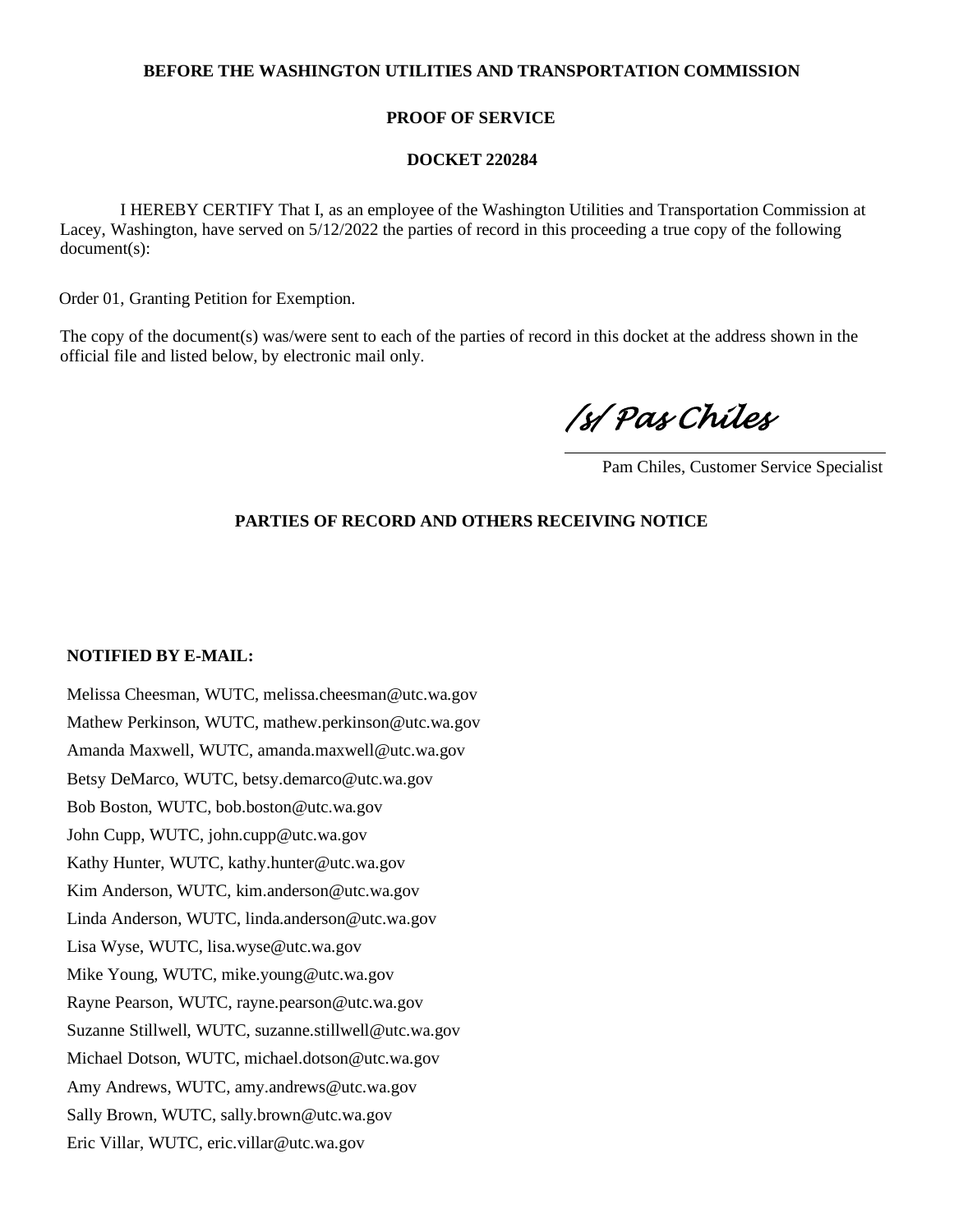## **BEFORE THE WASHINGTON UTILITIES AND TRANSPORTATION COMMISSION**

## **PROOF OF SERVICE**

#### **DOCKET 220284**

 I HEREBY CERTIFY That I, as an employee of the Washington Utilities and Transportation Commission at Lacey, Washington, have served on 5/12/2022 the parties of record in this proceeding a true copy of the following document(s):

Order 01, Granting Petition for Exemption.

The copy of the document(s) was/were sent to each of the parties of record in this docket at the address shown in the official file and listed below, by electronic mail only.

*/s/ Pas Chiles* 

Pam Chiles, Customer Service Specialist

# **PARTIES OF RECORD AND OTHERS RECEIVING NOTICE**

#### **NOTIFIED BY E-MAIL:**

Melissa Cheesman, WUTC, melissa.cheesman@utc.wa.gov Mathew Perkinson, WUTC, mathew.perkinson@utc.wa.gov Amanda Maxwell, WUTC, amanda.maxwell@utc.wa.gov Betsy DeMarco, WUTC, betsy.demarco@utc.wa.gov Bob Boston, WUTC, bob.boston@utc.wa.gov John Cupp, WUTC, john.cupp@utc.wa.gov Kathy Hunter, WUTC, kathy.hunter@utc.wa.gov Kim Anderson, WUTC, kim.anderson@utc.wa.gov Linda Anderson, WUTC, linda.anderson@utc.wa.gov Lisa Wyse, WUTC, lisa.wyse@utc.wa.gov Mike Young, WUTC, mike.young@utc.wa.gov Rayne Pearson, WUTC, rayne.pearson@utc.wa.gov Suzanne Stillwell, WUTC, suzanne.stillwell@utc.wa.gov Michael Dotson, WUTC, michael.dotson@utc.wa.gov Amy Andrews, WUTC, amy.andrews@utc.wa.gov Sally Brown, WUTC, sally.brown@utc.wa.gov Eric Villar, WUTC, eric.villar@utc.wa.gov